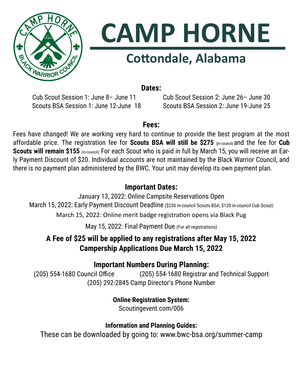



# **Cottondale, Alabama**

**Dates:**

Cub Scout Session 1: June 8– June 11 Cub Scout Session 2: June 26– June 30 Scouts BSA Session 1: June 12-June 18 Scouts BSA Session 2: June 19-June 25

## **Fees:**

Fees have changed! We are working very hard to continue to provide the best program at the most affordable price. The registration fee for **Scouts BSA will still be \$275 (**in-council) and the fee for **Cub Scouts will remain \$155** (in-council). For each Scout who is paid in full by March 15, you will receive an Early Payment Discount of \$20. Individual accounts are not maintained by the Black Warrior Council, and there is no payment plan administered by the BWC. Your unit may develop its own payment plan.

# **Important Dates:**

January 13, 2022: Online Campsite Reservations Open March 15, 2022: Early Payment Discount Deadline (\$230 in-council Scouts BSA; \$120 in-council Cub Scout) March 15, 2022: Online merit badge registration opens via Black Pug

May 15, 2022: Final Payment Due (For all registrations)

# **A Fee of \$25 will be applied to any registrations after May 15, 2022 Campership Applications Due March 15, 2022**

# **Important Numbers During Planning:**

(205) 554-1680 Council Office (205) 554-1680 Registrar and Technical Support (205) 292-2845 Camp Director's Phone Number

**Online Registration System:**

Scoutingevent.com/006

# **Information and Planning Guides:**

These can be downloaded by going to: www.bwc-bsa.org/summer-camp